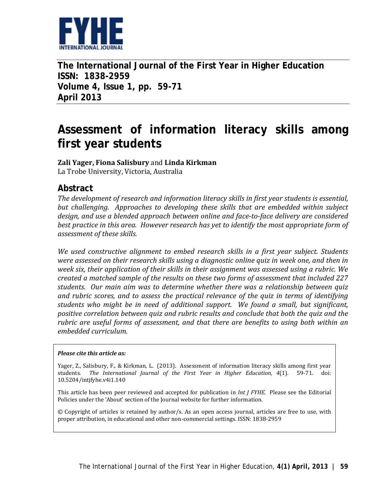

**The International Journal of the First Year in Higher Education ISSN: 1838-2959 Volume 4, Issue 1, pp. 59-71 April 2013**

# **Assessment of information literacy skills among first year students**

**Zali Yager, Fiona Salisbury** and **Linda Kirkman**

La Trobe University, Victoria, Australia

### **Abstract**

*The development of research and information literacy skills in first year students is essential, but challenging. Approaches to developing these skills that are embedded within subject design, and use a blended approach between online and face-to-face delivery are considered best practice in this area. However research has yet to identify the most appropriate form of assessment of these skills.* 

*We used constructive alignment to embed research skills in a first year subject. Students were assessed on their research skills using a diagnostic online quiz in week one, and then in week six, their application of their skills in their assignment was assessed using a rubric. We created a matched sample of the results on these two forms of assessment that included 227 students. Our main aim was to determine whether there was a relationship between quiz and rubric scores, and to assess the practical relevance of the quiz in terms of identifying students who might be in need of additional support. We found a small, but significant, positive correlation between quiz and rubric results and conclude that both the quiz and the rubric are useful forms of assessment, and that there are benefits to using both within an embedded curriculum.*

#### *Please cite this article as:*

Yager, Z., Salisbury, F., & Kirkman, L. (2013). Assessment of information literacy skills among first year students. *The International Journal of the First Year in Higher Education, 4*(1). 59-71. doi: 10.5204/intjfyhe.v4i1.140

This article has been peer reviewed and accepted for publication in *Int J FYHE.* Please see the Editorial Policies under the 'About' section of the Journal website for further information.

© Copyright of articles is retained by author/s. As an open access journal, articles are free to use, with proper attribution, in educational and other non-commercial settings. ISSN: 1838-2959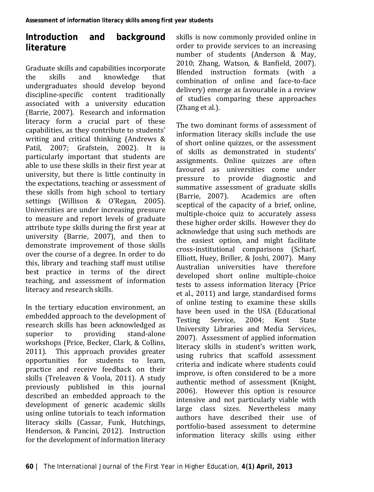# **Introduction and background literature**

Graduate skills and capabilities incorporate<br>the skills and knowledge that the skills and knowledge that undergraduates should develop beyond discipline-specific content traditionally associated with a university education (Barrie, 2007). Research and information literacy form a crucial part of these capabilities, as they contribute to students' writing and critical thinking (Andrews & Patil, 2007; Grafstein, 2002). It is particularly important that students are able to use these skills in their first year at university, but there is little continuity in the expectations, teaching or assessment of these skills from high school to tertiary settings (Willison & O'Regan, 2005). Universities are under increasing pressure to measure and report levels of graduate attribute type skills during the first year at university (Barrie, 2007), and then to demonstrate improvement of those skills over the course of a degree. In order to do this, library and teaching staff must utilise best practice in terms of the direct teaching, and assessment of information literacy and research skills.

In the tertiary education environment, an embedded approach to the development of research skills has been acknowledged as<br>superior to providing stand-alone superior to providing stand-alone workshops (Price, Becker, Clark, & Collins, 2011). This approach provides greater opportunities for students to learn, practice and receive feedback on their skills (Treleaven & Voola, 2011). A study previously published in this journal described an embedded approach to the development of generic academic skills using online tutorials to teach information literacy skills (Cassar, Funk, Hutchings, Henderson, & Pancini, 2012). Instruction for the development of information literacy skills is now commonly provided online in order to provide services to an increasing number of students (Anderson & May, 2010; Zhang, Watson, & Banfield, 2007). Blended instruction formats (with a combination of online and face-to-face delivery) emerge as favourable in a review of studies comparing these approaches (Zhang et al.).

The two dominant forms of assessment of information literacy skills include the use of short online quizzes, or the assessment of skills as demonstrated in students' assignments. Online quizzes are often favoured as universities come under<br>pressure to provide diagnostic and provide diagnostic and summative assessment of graduate skills<br>(Barrie, 2007). Academics are often Academics are often sceptical of the capacity of a brief, online, multiple-choice quiz to accurately assess these higher order skills. However they do acknowledge that using such methods are the easiest option, and might facilitate cross-institutional comparisons (Scharf, Elliott, Huey, Briller, & Joshi, 2007). Many Australian universities have therefore developed short online multiple-choice tests to assess information literacy (Price et al., 2011) and large, standardised forms of online testing to examine these skills have been used in the USA (Educational<br>Testing Service. 2004: Kent State Service, 2004; Kent University Libraries and Media Services, 2007). Assessment of applied information literacy skills in student's written work, using rubrics that scaffold assessment criteria and indicate where students could improve, is often considered to be a more authentic method of assessment (Knight, 2006). However this option is resource intensive and not particularly viable with large class sizes. Nevertheless many authors have described their use of portfolio-based assessment to determine information literacy skills using either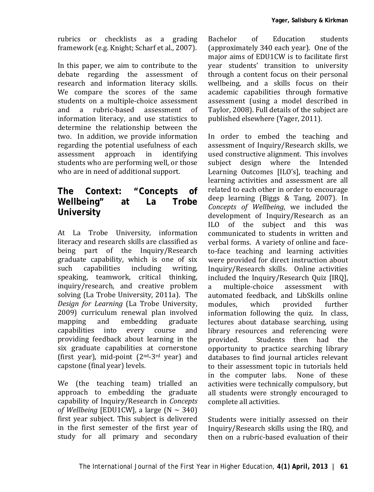rubrics or checklists as a grading framework (e.g. Knight; Scharf et al., 2007).

In this paper, we aim to contribute to the debate regarding the assessment of research and information literacy skills. We compare the scores of the same students on a multiple-choice assessment<br>and a rubric-based assessment of and a rubric-based assessment of information literacy, and use statistics to determine the relationship between the two. In addition, we provide information regarding the potential usefulness of each<br>assessment approach in identifying assessment approach in identifying students who are performing well, or those who are in need of additional support.

# **The Context: "Concepts of Wellbeing" at La Trobe University**

At La Trobe University, information literacy and research skills are classified as being part of the Inquiry/Research graduate capability, which is one of six capabilities including speaking, teamwork, critical thinking, inquiry/research, and creative problem solving (La Trobe University, 2011a). The *Design for Learning* (La Trobe University, 2009) curriculum renewal plan involved<br>mapping and embedding graduate mapping and embedding graduate<br>capabilities into every course and capabilities into every course and providing feedback about learning in the six graduate capabilities at cornerstone (first year), mid-point (2nd-3rd year) and capstone (final year) levels.

We (the teaching team) trialled an approach to embedding the graduate capability of Inquiry/Research in *Concepts of Wellbeing* [EDU1CW], a large  $(N \sim 340)$ first year subject. This subject is delivered in the first semester of the first year of study for all primary and secondary

Bachelor of Education students (approximately 340 each year). One of the major aims of EDU1CW is to facilitate first year students' transition to university through a content focus on their personal wellbeing, and a skills focus on their academic capabilities through formative assessment (using a model described in Taylor, 2008). Full details of the subject are published elsewhere (Yager, 2011).

In order to embed the teaching and assessment of Inquiry/Research skills, we used constructive alignment. This involves subject design where the Intended Learning Outcomes [ILO's], teaching and learning activities and assessment are all related to each other in order to encourage deep learning (Biggs & Tang, 2007). In *Concepts of Wellbeing*, we included the development of Inquiry/Research as an ILO of the subject and this was communicated to students in written and verbal forms. A variety of online and faceto-face teaching and learning activities were provided for direct instruction about Inquiry/Research skills. Online activities included the Inquiry/Research Quiz [IRQ],<br>a multiple-choice assessment with a multiple-choice assessment with automated feedback, and LibSkills online modules, which provided further information following the quiz. In class, lectures about database searching, using library resources and referencing were<br>provided. Students then had the Students then had the opportunity to practice searching library databases to find journal articles relevant to their assessment topic in tutorials held<br>in the computer labs. None of these in the computer labs. activities were technically compulsory, but all students were strongly encouraged to complete all activities.

Students were initially assessed on their Inquiry/Research skills using the IRQ, and then on a rubric-based evaluation of their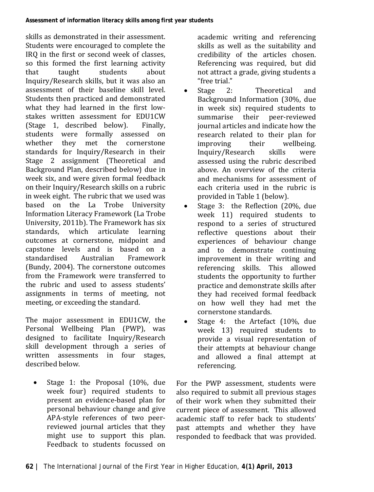skills as demonstrated in their assessment. Students were encouraged to complete the IRQ in the first or second week of classes, so this formed the first learning activity<br>that taught students about that taught students about Inquiry/Research skills, but it was also an assessment of their baseline skill level. Students then practiced and demonstrated what they had learned in the first lowstakes written assessment for EDU1CW<br>(Stage 1. described below). Finally.  $(Stage 1, described below).$ students were formally assessed on whether they met the cornerstone standards for Inquiry/Research in their Stage 2 assignment (Theoretical and Background Plan, described below) due in week six, and were given formal feedback on their Inquiry/Research skills on a rubric in week eight. The rubric that we used was based on the La Trobe University Information Literacy Framework (La Trobe University, 2011b). The Framework has six standards, which articulate learning outcomes at cornerstone, midpoint and capstone levels and is based on a standardised (Bundy, 2004). The cornerstone outcomes from the Framework were transferred to the rubric and used to assess students' assignments in terms of meeting, not meeting, or exceeding the standard.

The major assessment in EDU1CW, the Personal Wellbeing Plan (PWP), was designed to facilitate Inquiry/Research skill development through a series of written assessments in four stages, described below.

• Stage 1: the Proposal (10%, due week four) required students to present an evidence-based plan for personal behaviour change and give APA-style references of two peerreviewed journal articles that they might use to support this plan. Feedback to students focussed on

academic writing and referencing skills as well as the suitability and credibility of the articles chosen. Referencing was required, but did not attract a grade, giving students a

- "free trial."<br>Stage 2: • Stage 2: Theoretical and Background Information (30%, due in week six) required students to summarise their journal articles and indicate how the research related to their plan for<br>improving their wellbeing. improving their wellbeing.<br>Inquiry/Research skills were Inquiry/Research assessed using the rubric described above. An overview of the criteria and mechanisms for assessment of each criteria used in the rubric is provided in Table 1 (below).
- Stage 3: the Reflection (20%, due week 11) required students to respond to a series of structured reflective questions about their experiences of behaviour change and to demonstrate continuing improvement in their writing and referencing skills. This allowed students the opportunity to further practice and demonstrate skills after they had received formal feedback on how well they had met the cornerstone standards.
- Stage 4: the Artefact (10%, due week 13) required students to provide a visual representation of their attempts at behaviour change and allowed a final attempt at referencing.

For the PWP assessment, students were also required to submit all previous stages of their work when they submitted their current piece of assessment. This allowed academic staff to refer back to students' past attempts and whether they have responded to feedback that was provided.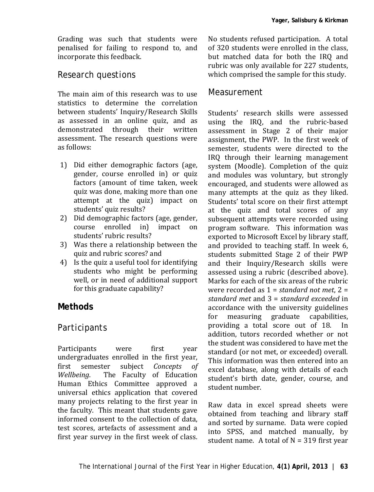Grading was such that students were penalised for failing to respond to, and incorporate this feedback.

#### *Research questions*

The main aim of this research was to use statistics to determine the correlation between students' Inquiry/Research Skills as assessed in an online quiz, and as demonstrated through their written assessment. The research questions were as follows:

- 1) Did either demographic factors (age, gender, course enrolled in) or quiz factors (amount of time taken, week quiz was done, making more than one attempt at the quiz) impact on students' quiz results?
- 2) Did demographic factors (age, gender,<br>course enrolled in impact on course enrolled in) impact students' rubric results?
- 3) Was there a relationship between the quiz and rubric scores? and
- 4) Is the quiz a useful tool for identifying students who might be performing well, or in need of additional support for this graduate capability?

# **Methods**

### *Participants*

Participants were first year undergraduates enrolled in the first year, first semester subject *Concepts of*  The Faculty of Education Human Ethics Committee approved a universal ethics application that covered many projects relating to the first year in the faculty. This meant that students gave informed consent to the collection of data, test scores, artefacts of assessment and a first year survey in the first week of class.

No students refused participation. A total of 320 students were enrolled in the class, but matched data for both the IRQ and rubric was only available for 227 students, which comprised the sample for this study.

#### *Measurement*

Students' research skills were assessed using the IRQ, and the rubric-based assessment in Stage 2 of their major assignment, the PWP. In the first week of semester, students were directed to the IRQ through their learning management system (Moodle). Completion of the quiz and modules was voluntary, but strongly encouraged, and students were allowed as many attempts at the quiz as they liked. Students' total score on their first attempt at the quiz and total scores of any subsequent attempts were recorded using program software. This information was exported to Microsoft Excel by library staff, and provided to teaching staff. In week 6, students submitted Stage 2 of their PWP and their Inquiry/Research skills were assessed using a rubric (described above). Marks for each of the six areas of the rubric were recorded as 1 = *standard not met*, 2 = *standard met* and 3 = *standard exceeded* in accordance with the university guidelines<br>for measuring graduate capabilities. measuring graduate capabilities,<br>ding a total score out of 18. In providing a total score out of 18. addition, tutors recorded whether or not the student was considered to have met the standard (or not met, or exceeded) overall. This information was then entered into an excel database, along with details of each student's birth date, gender, course, and student number.

Raw data in excel spread sheets were obtained from teaching and library staff and sorted by surname. Data were copied into SPSS, and matched manually, by student name. A total of  $N = 319$  first year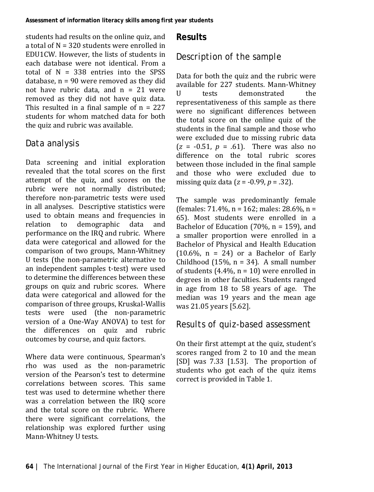students had results on the online quiz, and a total of N = 320 students were enrolled in EDU1CW. However, the lists of students in each database were not identical. From a total of  $N = 338$  entries into the SPSS database, n = 90 were removed as they did not have rubric data, and  $n = 21$  were removed as they did not have quiz data. This resulted in a final sample of  $n = 227$ students for whom matched data for both the quiz and rubric was available.

#### *Data analysis*

Data screening and initial exploration revealed that the total scores on the first attempt of the quiz, and scores on the rubric were not normally distributed; therefore non-parametric tests were used in all analyses. Descriptive statistics were used to obtain means and frequencies in<br>relation to demographic data and demographic performance on the IRQ and rubric. Where data were categorical and allowed for the comparison of two groups, Mann-Whitney U tests (the non-parametric alternative to an independent samples t-test) were used to determine the differences between these groups on quiz and rubric scores. Where data were categorical and allowed for the comparison of three groups, Kruskal-Wallis tests were used (the non-parametric version of a One-Way ANOVA) to test for the differences on quiz and rubric outcomes by course, and quiz factors.

Where data were continuous, Spearman's rho was used as the non-parametric version of the Pearson's test to determine correlations between scores. This same test was used to determine whether there was a correlation between the IRQ score and the total score on the rubric. Where there were significant correlations, the relationship was explored further using Mann-Whitney U tests.

#### **Results**

# *Description of the sample*

Data for both the quiz and the rubric were available for 227 students. Mann-Whitney U tests demonstrated the representativeness of this sample as there were no significant differences between the total score on the online quiz of the students in the final sample and those who were excluded due to missing rubric data  $(z = -0.51, p = .61)$ . There was also no difference on the total rubric scores between those included in the final sample and those who were excluded due to missing quiz data (*z* = -0.99, *p* = .32).

The sample was predominantly female (females: 71.4%, n = 162; males: 28.6%, n = 65). Most students were enrolled in a Bachelor of Education (70%,  $n = 159$ ), and a smaller proportion were enrolled in a Bachelor of Physical and Health Education  $(10.6\% \text{, } n = 24)$  or a Bachelor of Early Childhood (15%,  $n = 34$ ). A small number of students  $(4.4\% \text{ n} = 10)$  were enrolled in degrees in other faculties. Students ranged in age from 18 to 58 years of age. The median was 19 years and the mean age was 21.05 years [5.62].

#### *Results of quiz-based assessment*

On their first attempt at the quiz, student's scores ranged from 2 to 10 and the mean [SD] was 7.33 [1.53]. The proportion of students who got each of the quiz items correct is provided in Table 1.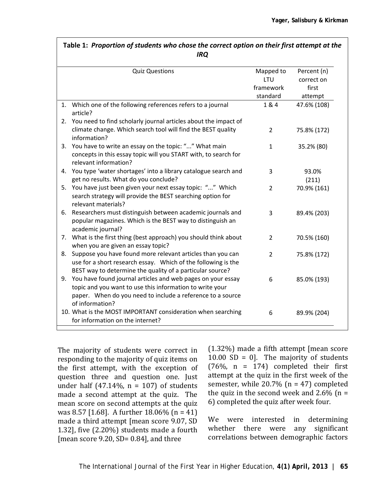|    | <b>IRQ</b>                                                                                                                                                                                               |                               |                                    |  |  |  |
|----|----------------------------------------------------------------------------------------------------------------------------------------------------------------------------------------------------------|-------------------------------|------------------------------------|--|--|--|
|    | <b>Quiz Questions</b>                                                                                                                                                                                    | Mapped to<br>LTU<br>framework | Percent (n)<br>correct on<br>first |  |  |  |
|    |                                                                                                                                                                                                          | standard                      | attempt                            |  |  |  |
| 1. | Which one of the following references refers to a journal<br>article?<br>2. You need to find scholarly journal articles about the impact of                                                              | 1 & 4                         | 47.6% (108)                        |  |  |  |
|    | climate change. Which search tool will find the BEST quality<br>information?                                                                                                                             | $\overline{2}$                | 75.8% (172)                        |  |  |  |
|    | 3. You have to write an essay on the topic: "" What main<br>concepts in this essay topic will you START with, to search for<br>relevant information?                                                     | $\mathbf{1}$                  | 35.2% (80)                         |  |  |  |
|    | 4. You type 'water shortages' into a library catalogue search and<br>get no results. What do you conclude?                                                                                               | 3                             | 93.0%<br>(211)                     |  |  |  |
|    | 5. You have just been given your next essay topic: "" Which<br>search strategy will provide the BEST searching option for<br>relevant materials?                                                         | $\overline{2}$                | 70.9% (161)                        |  |  |  |
|    | 6. Researchers must distinguish between academic journals and<br>popular magazines. Which is the BEST way to distinguish an<br>academic journal?                                                         | 3                             | 89.4% (203)                        |  |  |  |
| 7. | What is the first thing (best approach) you should think about<br>when you are given an essay topic?                                                                                                     | $\overline{2}$                | 70.5% (160)                        |  |  |  |
| 8. | Suppose you have found more relevant articles than you can<br>use for a short research essay. Which of the following is the<br>BEST way to determine the quality of a particular source?                 | $\overline{2}$                | 75.8% (172)                        |  |  |  |
| 9. | You have found journal articles and web pages on your essay<br>topic and you want to use this information to write your<br>paper. When do you need to include a reference to a source<br>of information? | 6                             | 85.0% (193)                        |  |  |  |
|    | 10. What is the MOST IMPORTANT consideration when searching<br>for information on the internet?                                                                                                          | 6                             | 89.9% (204)                        |  |  |  |

**Table 1:** *Proportion of students who chose the correct option on their first attempt at the* 

The majority of students were correct in responding to the majority of quiz items on the first attempt, with the exception of question three and question one. Just under half (47.14%,  $n = 107$ ) of students made a second attempt at the quiz. The mean score on second attempts at the quiz was 8.57 [1.68]. A further 18.06% (n = 41) made a third attempt [mean score 9.07, SD 1.32], five (2.20%) students made a fourth [mean score 9.20, SD=  $0.84$ ], and three

(1.32%) made a fifth attempt [mean score 10.00 SD = 0]. The majority of students  $(76\% \text{ n} = 174)$  completed their first attempt at the quiz in the first week of the semester, while 20.7% (n = 47) completed the quiz in the second week and  $2.6\%$  (n = 6) completed the quiz after week four.

We were interested in determining whether there were any significant correlations between demographic factors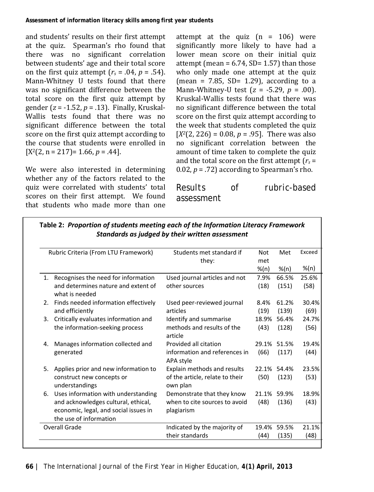and students' results on their first attempt at the quiz. Spearman's rho found that there was no significant correlation between students' age and their total score on the first quiz attempt  $(r_s = .04, p = .54)$ . Mann-Whitney U tests found that there was no significant difference between the total score on the first quiz attempt by gender (*z* = -1.52, *p* = .13). Finally, Kruskal-Wallis tests found that there was no significant difference between the total score on the first quiz attempt according to the course that students were enrolled in  $[X<sup>2</sup>(2, n = 217) = 1.66, p = .44].$ 

We were also interested in determining whether any of the factors related to the quiz were correlated with students' total scores on their first attempt. We found that students who made more than one

attempt at the quiz  $(n = 106)$  were significantly more likely to have had a lower mean score on their initial quiz attempt (mean =  $6.74$ , SD= 1.57) than those who only made one attempt at the quiz (mean =  $7.85$ , SD= 1.29), according to a Mann-Whitney-U test (*z* = -5.29, *p* = .00). Kruskal-Wallis tests found that there was no significant difference between the total score on the first quiz attempt according to the week that students completed the quiz  $[X^2(2, 226) = 0.08, p = .95]$ . There was also no significant correlation between the amount of time taken to complete the quiz and the total score on the first attempt (*rs* = 0.02,  $p = .72$ ) according to Spearman's rho.

*Results of rubric-based assessment*

| Rubric Criteria (From LTU Framework)                                                                   | Students met standard if                    | Not     | Met         | Exceed |
|--------------------------------------------------------------------------------------------------------|---------------------------------------------|---------|-------------|--------|
|                                                                                                        | they:                                       | met     |             |        |
|                                                                                                        |                                             | $%$ (n) | %(n)        | %(n)   |
| 1. Recognises the need for information                                                                 | Used journal articles and not               | 7.9%    | 66.5%       | 25.6%  |
| and determines nature and extent of<br>what is needed                                                  | other sources                               | (18)    | (151)       | (58)   |
| 2. Finds needed information effectively                                                                | Used peer-reviewed journal                  | 8.4%    | 61.2%       | 30.4%  |
| and efficiently                                                                                        | articles                                    | (19)    | (139)       | (69)   |
| Critically evaluates information and<br>3.                                                             | Identify and summarise                      | 18.9%   | 56.4%       | 24.7%  |
| the information-seeking process                                                                        | methods and results of the<br>article       | (43)    | (128)       | (56)   |
| Manages information collected and<br>4.                                                                | Provided all citation                       |         | 29.1% 51.5% | 19.4%  |
| generated                                                                                              | information and references in<br>APA style  | (66)    | (117)       | (44)   |
| 5. Applies prior and new information to                                                                | Explain methods and results                 |         | 22.1% 54.4% | 23.5%  |
| construct new concepts or<br>understandings                                                            | of the article, relate to their<br>own plan | (50)    | (123)       | (53)   |
| 6. Uses information with understanding                                                                 | Demonstrate that they know                  |         | 21.1% 59.9% | 18.9%  |
| and acknowledges cultural, ethical,<br>economic, legal, and social issues in<br>the use of information | when to cite sources to avoid<br>plagiarism | (48)    | (136)       | (43)   |
| <b>Overall Grade</b>                                                                                   | Indicated by the majority of                | 19.4%   | 59.5%       | 21.1%  |
|                                                                                                        | their standards                             | (44)    | (135)       | (48)   |

**Table 2:** *Proportion of students meeting each of the Information Literacy Framework Standards as judged by their written assessment*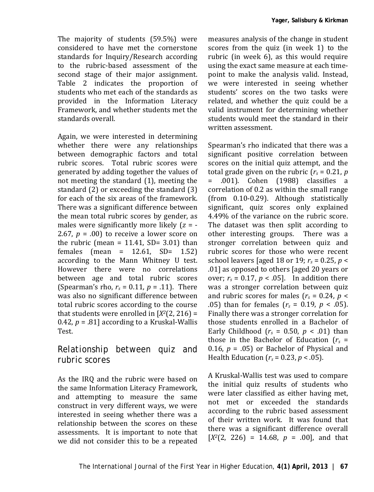The majority of students (59.5%) were considered to have met the cornerstone standards for Inquiry/Research according to the rubric-based assessment of the second stage of their major assignment. Table 2 indicates the proportion of students who met each of the standards as provided in the Information Literacy Framework, and whether students met the standards overall.

Again, we were interested in determining whether there were any relationships between demographic factors and total rubric scores. Total rubric scores were generated by adding together the values of not meeting the standard (1), meeting the standard (2) or exceeding the standard (3) for each of the six areas of the framework. There was a significant difference between the mean total rubric scores by gender, as males were significantly more likely (*z* = - 2.67,  $p = .00$ ) to receive a lower score on the rubric (mean =  $11.41$ , SD=  $3.01$ ) than females (mean = 12.61, SD= 1.52) according to the Mann Whitney U test. However there were no correlations between age and total rubric scores (Spearman's rho,  $r_s = 0.11$ ,  $p = .11$ ). There was also no significant difference between total rubric scores according to the course that students were enrolled in  $[X^2(2, 216) =$ 0.42,  $p = .81$ ] according to a Kruskal-Wallis Test.

#### *Relationship between quiz and rubric scores*

As the IRQ and the rubric were based on the same Information Literacy Framework, and attempting to measure the same construct in very different ways, we were interested in seeing whether there was a relationship between the scores on these assessments. It is important to note that we did not consider this to be a repeated

measures analysis of the change in student scores from the quiz (in week 1) to the rubric (in week 6), as this would require using the exact same measure at each timepoint to make the analysis valid. Instead, we were interested in seeing whether students' scores on the two tasks were related, and whether the quiz could be a valid instrument for determining whether students would meet the standard in their written assessment.

Spearman's rho indicated that there was a significant positive correlation between scores on the initial quiz attempt, and the total grade given on the rubric  $(r_s = 0.21, p$ = .001). Cohen (1988) classifies a correlation of 0.2 as within the small range (from 0.10-0.29). Although statistically significant, quiz scores only explained 4.49% of the variance on the rubric score. The dataset was then split according to other interesting groups. There was a stronger correlation between quiz and rubric scores for those who were recent school leavers [aged 18 or 19;  $r_s = 0.25$ ,  $p \le$ .01] as opposed to others [aged 20 years or over;  $r_s = 0.17$ ,  $p < .05$ ]. In addition there was a stronger correlation between quiz and rubric scores for males  $(r_s = 0.24, p <$ .05) than for females  $(r_s = 0.19, p < .05)$ . Finally there was a stronger correlation for those students enrolled in a Bachelor of Early Childhood  $(r_s = 0.50, p < .01)$  than those in the Bachelor of Education  $(r_s =$ 0.16,  $p = .05$ ) or Bachelor of Physical and Health Education ( $r_s$  = 0.23,  $p < .05$ ).

A Kruskal-Wallis test was used to compare the initial quiz results of students who were later classified as either having met, not met or exceeded the standards according to the rubric based assessment of their written work. It was found that there was a significant difference overall  $[X<sup>2</sup>(2, 226) = 14.68, p = .00]$ , and that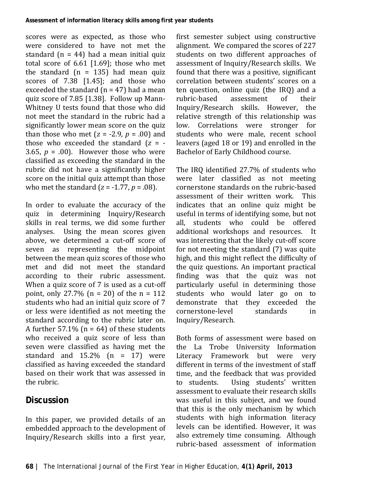scores were as expected, as those who were considered to have not met the standard  $(n = 44)$  had a mean initial quiz total score of 6.61 [1.69]; those who met the standard  $(n = 135)$  had mean quiz scores of 7.38 [1.45]; and those who exceeded the standard  $(n = 47)$  had a mean quiz score of 7.85 [1.38]. Follow up Mann-Whitney U tests found that those who did not meet the standard in the rubric had a significantly lower mean score on the quiz than those who met  $(z = -2.9, p = .00)$  and those who exceeded the standard (*z* = - 3.65,  $p = .00$ ). However those who were classified as exceeding the standard in the rubric did not have a significantly higher score on the initial quiz attempt than those who met the standard (*z* = -1.77, *p* = .08).

In order to evaluate the accuracy of the quiz in determining Inquiry/Research skills in real terms, we did some further analyses. Using the mean scores given above, we determined a cut-off score of seven as representing the midpoint between the mean quiz scores of those who met and did not meet the standard according to their rubric assessment. When a quiz score of 7 is used as a cut-off point, only 27.7% ( $n = 20$ ) of the  $n = 112$ students who had an initial quiz score of 7 or less were identified as not meeting the standard according to the rubric later on. A further  $57.1\%$  (n = 64) of these students who received a quiz score of less than seven were classified as having met the standard and  $15.2\%$  (n = 17) were classified as having exceeded the standard based on their work that was assessed in the rubric.

# **Discussion**

In this paper, we provided details of an embedded approach to the development of Inquiry/Research skills into a first year,

first semester subject using constructive alignment. We compared the scores of 227 students on two different approaches of assessment of Inquiry/Research skills. We found that there was a positive, significant correlation between students' scores on a ten question, online quiz (the IRQ) and a<br>rubric-based assessment of their rubric-based assessment of their Inquiry/Research skills. However, the relative strength of this relationship was low. Correlations were stronger for students who were male, recent school leavers (aged 18 or 19) and enrolled in the Bachelor of Early Childhood course.

The IRQ identified 27.7% of students who were later classified as not meeting cornerstone standards on the rubric-based assessment of their written work. This indicates that an online quiz might be useful in terms of identifying some, but not<br>all. students who could be offered students who could be offered additional workshops and resources. It was interesting that the likely cut-off score for not meeting the standard (7) was quite high, and this might reflect the difficulty of the quiz questions. An important practical finding was that the quiz was not particularly useful in determining those students who would later go on to demonstrate that they exceeded the<br>cornerstone-level standards in cornerstone-level Inquiry/Research.

Both forms of assessment were based on the La Trobe University Information Literacy Framework but were very different in terms of the investment of staff time, and the feedback that was provided<br>to students. Using students' written Using students' written assessment to evaluate their research skills was useful in this subject, and we found that this is the only mechanism by which students with high information literacy levels can be identified. However, it was also extremely time consuming. Although rubric-based assessment of information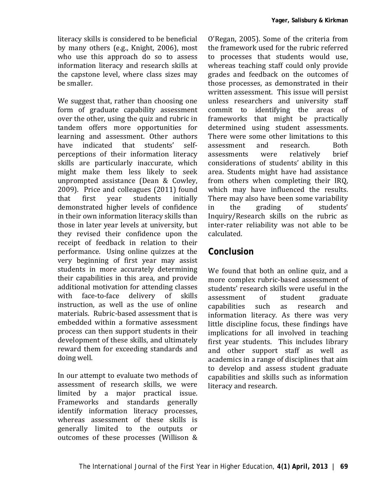literacy skills is considered to be beneficial by many others (e.g., Knight, 2006), most who use this approach do so to assess information literacy and research skills at the capstone level, where class sizes may be smaller.

We suggest that, rather than choosing one form of graduate capability assessment over the other, using the quiz and rubric in tandem offers more opportunities for learning and assessment. Other authors<br>have indicated that students' selfindicated that students' perceptions of their information literacy skills are particularly inaccurate, which might make them less likely to seek unprompted assistance (Dean & Cowley, 2009). Price and colleagues (2011) found<br>that first vear students initially that first year students initially demonstrated higher levels of confidence in their own information literacy skills than those in later year levels at university, but they revised their confidence upon the receipt of feedback in relation to their performance. Using online quizzes at the very beginning of first year may assist students in more accurately determining their capabilities in this area, and provide additional motivation for attending classes<br>with face-to-face delivery of skills face-to-face delivery of skills instruction, as well as the use of online materials. Rubric-based assessment that is embedded within a formative assessment process can then support students in their development of these skills, and ultimately reward them for exceeding standards and doing well.

In our attempt to evaluate two methods of assessment of research skills, we were limited by a major practical issue. Frameworks and standards generally identify information literacy processes, whereas assessment of these skills is generally limited to the outputs or outcomes of these processes (Willison &

O'Regan, 2005). Some of the criteria from the framework used for the rubric referred to processes that students would use, whereas teaching staff could only provide grades and feedback on the outcomes of those processes, as demonstrated in their written assessment. This issue will persist unless researchers and university staff commit to identifying the areas of frameworks that might be practically determined using student assessments. There were some other limitations to this<br>assessment and research Both assessment and research. Both<br>assessments were relatively brief assessments were relatively brief considerations of students' ability in this area. Students might have had assistance from others when completing their IRQ, which may have influenced the results. There may also have been some variability<br>in the grading of students' in the grading of students' Inquiry/Research skills on the rubric as inter-rater reliability was not able to be calculated.

### **Conclusion**

We found that both an online quiz, and a more complex rubric-based assessment of students' research skills were useful in the<br>assessment of student graduate assessment of student graduate<br>capabilities such as research and capabilities such as research and information literacy. As there was very little discipline focus, these findings have implications for all involved in teaching first year students. This includes library and other support staff as well as academics in a range of disciplines that aim to develop and assess student graduate capabilities and skills such as information literacy and research.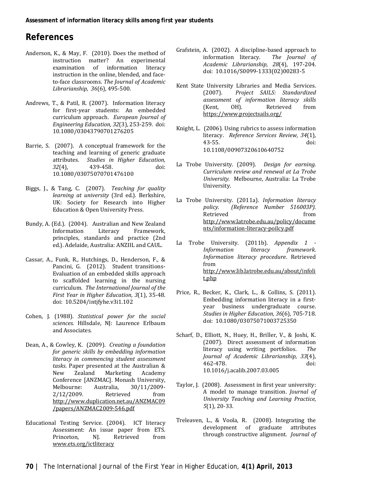### **References**

- Anderson, K., & May, F. (2010). Does the method of instruction matter? An experimental<br>examination of information literacy  $examination$  of information instruction in the online, blended, and faceto-face classrooms. *The Journal of Academic Librarianship, 36*(6), 495-500.
- Andrews, T., & Patil, R. (2007). Information literacy for first-year students: An embedded curriculum approach. *European Journal of Engineering Education, 32*(3), 253-259. doi: 10.1080/03043790701276205
- Barrie, S. (2007). A conceptual framework for the teaching and learning of generic graduate attributes. *Studies in Higher Education, 32*(4), 439-458. doi: 10.1080/03075070701476100
- Biggs, J., & Tang, C. (2007). *Teaching for quality learning at university* (3rd ed.). Berkshire, UK: Society for Research into Higher Education & Open University Press.
- Bundy, A. (Ed.). (2004). Australian and New Zealand Information Literacy Framework, principles, standards and practice (2nd ed.). Adelaide, Australia: ANZIIL and CAUL.
- Cassar, A., Funk, R., Hutchings, D., Henderson, F., & Pancini, G. (2012). Student transitions-Evaluation of an embedded skills approach to scaffolded learning in the nursing curriculum. *The International Journal of the First Year in Higher Education, 3*(1), 35-48. doi: 10.5204/intjfyhe.v3i1.102
- Cohen, J. (1988). *Statistical power for the social sciences*. Hillsdale, NJ: Laurence Erlbaum and Associates.
- Dean, A., & Cowley, K. (2009). *Creating a foundation for generic skills by embedding information literacy in commencing student assessment tasks*. Paper presented at the Australian & New Zealand Marketing Academy Conference [ANZMAC]. Monash University, Melbourne: Australia, 30/11/2009- 2/12/2009. Retrieved from [http://www.duplication.net.au/ANZMAC09](http://www.duplication.net.au/ANZMAC09/papers/ANZMAC2009-546.pdf) [/papers/ANZMAC2009-546.pdf](http://www.duplication.net.au/ANZMAC09/papers/ANZMAC2009-546.pdf)
- Educational Testing Service. (2004). ICT literacy Assessment: An issue paper from ETS.<br>Princeton, NJ. Retrieved from Retrieved [www.ets.org/ictliteracy](http://www.ets.org/ictliteracy)
- Grafstein, A. (2002). A discipline-based approach to<br>information literacy. The lournal of information literacy. *Academic Librarianship, 28*(4), 197-204. doi: 10.1016/S0099-1333(02)00283-5
- Kent State University Libraries and Media Services.<br>
(2007). Project SAILS: Standardized (2007). *Project SAILS: Standardized assessment of information literacy skills* (Kent, OH). Retrieved from <https://www.projectsails.org/>
- Knight, L. (2006). Using rubrics to assess information literacy. *Reference Services Review, 34*(1)*,* 43-55. doi: [10.1108/00907320610640752](http://dx.doi.org/10.1108/00907320610640752)
- La Trobe University. (2009). *Design for earning. Curriculum review and renewal at La Trobe University.* Melbourne, Australia: La Trobe University.
- La Trobe University. (2011a). *Information literacy <i>(Reference Number 516003P).* Retrieved from [http://www.latrobe.edu.au/policy/docume](http://www.latrobe.edu.au/policy/documents/information-literacy-poilcy.pdf) [nts/information-literacy-poilcy.pdf](http://www.latrobe.edu.au/policy/documents/information-literacy-poilcy.pdf)
- La Trobe University. (2011b). *Appendix 1 - Information literacy framework. Information literacy procedure*. Retrieved from [http://www.lib.latrobe.edu.au/about/infoli](http://www.lib.latrobe.edu.au/about/infolit.php) [t.php](http://www.lib.latrobe.edu.au/about/infolit.php)
- Price, R., Becker, K., Clark, L., & Collins, S. (2011). Embedding information literacy in a firstyear business undergraduate course. *Studies in Higher Education, 36*(6), 705-718. doi: 10.1080/03075071003725350
- Scharf, D., Elliott, N., Huey, H., Briller, V., & Joshi, K. (2007). Direct assessment of information<br>literacy using writing portfolios  $The$ literacy using writing portfolios. *Journal of Academic Librarianship, 33*(4), 462-478. [10.1016/j.acalib.2007.03.005](http://www.sciencedirect.com/science/article/B6W50-4NM5XT8-1/2/f1d234cf14f56d412e6603da2072225a%20http:/dx.doi.org/DOI:10.1016/j.acalib.2007.03.005)
- Taylor, J. (2008). Assessment in first year university: A model to manage transition. *Journal of University Teaching and Learning Practice, 5*(1), 20-33.
- Treleaven, L., & Voola, R. (2008). Integrating the development of graduate attributes through constructive alignment. *Journal of*